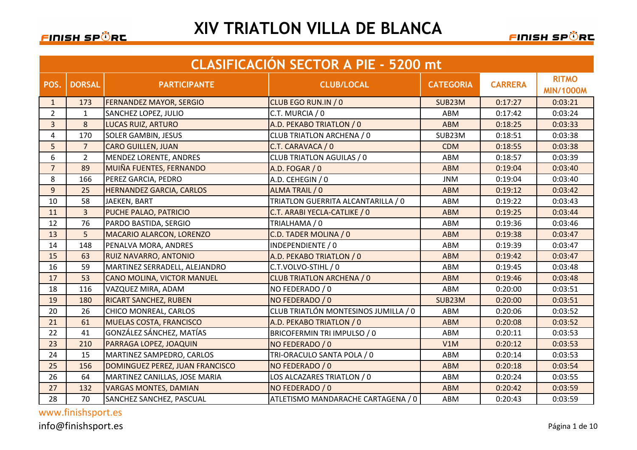### FINISH SPÖRE

### **XIV TRIATLON VILLA DE BLANCA**

|                | <b>CLASIFICACIÓN SECTOR A PIE - 5200 mt</b> |                                   |                                      |                  |                |                                  |  |
|----------------|---------------------------------------------|-----------------------------------|--------------------------------------|------------------|----------------|----------------------------------|--|
| POS.           | <b>DORSAL</b>                               | <b>PARTICIPANTE</b>               | <b>CLUB/LOCAL</b>                    | <b>CATEGORIA</b> | <b>CARRERA</b> | <b>RITMO</b><br><b>MIN/1000M</b> |  |
| $\mathbf{1}$   | 173                                         | <b>FERNANDEZ MAYOR, SERGIO</b>    | CLUB EGO RUN.IN / 0                  | SUB23M           | 0:17:27        | 0:03:21                          |  |
| $\overline{2}$ | $\mathbf{1}$                                | SANCHEZ LOPEZ, JULIO              | C.T. MURCIA / 0                      | ABM              | 0:17:42        | 0:03:24                          |  |
| $\overline{3}$ | 8                                           | <b>LUCAS RUIZ, ARTURO</b>         | A.D. PEKABO TRIATLON / 0             | <b>ABM</b>       | 0:18:25        | 0:03:33                          |  |
| $\sqrt{4}$     | 170                                         | <b>SOLER GAMBIN, JESUS</b>        | CLUB TRIATLON ARCHENA / 0            | SUB23M           | 0:18:51        | 0:03:38                          |  |
| 5              | $\overline{7}$                              | <b>CARO GUILLEN, JUAN</b>         | C.T. CARAVACA / 0                    | <b>CDM</b>       | 0:18:55        | 0:03:38                          |  |
| 6              | $\overline{2}$                              | <b>MENDEZ LORENTE, ANDRES</b>     | <b>CLUB TRIATLON AGUILAS / 0</b>     | ABM              | 0:18:57        | 0:03:39                          |  |
| $\overline{7}$ | 89                                          | <b>MUIÑA FUENTES, FERNANDO</b>    | A.D. FOGAR / 0                       | <b>ABM</b>       | 0:19:04        | 0:03:40                          |  |
| 8              | 166                                         | PEREZ GARCIA, PEDRO               | A.D. CEHEGIN / 0                     | <b>JNM</b>       | 0:19:04        | 0:03:40                          |  |
| 9              | 25                                          | <b>HERNANDEZ GARCIA, CARLOS</b>   | ALMA TRAIL / 0                       | <b>ABM</b>       | 0:19:12        | 0:03:42                          |  |
| 10             | 58                                          | JAEKEN, BART                      | TRIATLON GUERRITA ALCANTARILLA / 0   | ABM              | 0:19:22        | 0:03:43                          |  |
| 11             | $\overline{3}$                              | PUCHE PALAO, PATRICIO             | C.T. ARABI YECLA-CATLIKE / 0         | <b>ABM</b>       | 0:19:25        | 0:03:44                          |  |
| 12             | 76                                          | PARDO BASTIDA, SERGIO             | TRIALHAMA / 0                        | ABM              | 0:19:36        | 0:03:46                          |  |
| 13             | 5                                           | MACARIO ALARCON, LORENZO          | C.D. TADER MOLINA / 0                | <b>ABM</b>       | 0:19:38        | 0:03:47                          |  |
| 14             | 148                                         | PENALVA MORA, ANDRES              | INDEPENDIENTE / 0                    | ABM              | 0:19:39        | 0:03:47                          |  |
| 15             | 63                                          | RUIZ NAVARRO, ANTONIO             | A.D. PEKABO TRIATLON / 0             | <b>ABM</b>       | 0:19:42        | 0:03:47                          |  |
| 16             | 59                                          | MARTINEZ SERRADELL, ALEJANDRO     | C.T.VOLVO-STIHL / 0                  | ABM              | 0:19:45        | 0:03:48                          |  |
| 17             | 53                                          | <b>CANO MOLINA, VICTOR MANUEL</b> | <b>CLUB TRIATLON ARCHENA / 0</b>     | <b>ABM</b>       | 0:19:46        | 0:03:48                          |  |
| 18             | 116                                         | VAZQUEZ MIRA, ADAM                | NO FEDERADO / 0                      | ABM              | 0:20:00        | 0:03:51                          |  |
| 19             | 180                                         | RICART SANCHEZ, RUBEN             | NO FEDERADO / 0                      | SUB23M           | 0:20:00        | 0:03:51                          |  |
| 20             | 26                                          | CHICO MONREAL, CARLOS             | CLUB TRIATLÓN MONTESINOS JUMILLA / 0 | ABM              | 0:20:06        | 0:03:52                          |  |
| 21             | 61                                          | <b>MUELAS COSTA, FRANCISCO</b>    | A.D. PEKABO TRIATLON / 0             | <b>ABM</b>       | 0:20:08        | 0:03:52                          |  |
| 22             | 41                                          | GONZÁLEZ SÁNCHEZ, MATÍAS          | BRICOFERMIN TRI IMPULSO / 0          | ABM              | 0:20:11        | 0:03:53                          |  |
| 23             | 210                                         | PARRAGA LOPEZ, JOAQUIN            | NO FEDERADO / 0                      | V1M              | 0:20:12        | 0:03:53                          |  |
| 24             | 15                                          | MARTINEZ SAMPEDRO, CARLOS         | TRI-ORACULO SANTA POLA / 0           | ABM              | 0:20:14        | 0:03:53                          |  |
| 25             | 156                                         | DOMINGUEZ PEREZ, JUAN FRANCISCO   | NO FEDERADO / 0                      | <b>ABM</b>       | 0:20:18        | 0:03:54                          |  |
| 26             | 64                                          | MARTINEZ CANILLAS, JOSE MARIA     | LOS ALCAZARES TRIATLON / 0           | ABM              | 0:20:24        | 0:03:55                          |  |
| 27             | 132                                         | <b>VARGAS MONTES, DAMIAN</b>      | NO FEDERADO / 0                      | <b>ABM</b>       | 0:20:42        | 0:03:59                          |  |
| 28             | 70                                          | SANCHEZ SANCHEZ, PASCUAL          | ATLETISMO MANDARACHE CARTAGENA / 0   | ABM              | 0:20:43        | 0:03:59                          |  |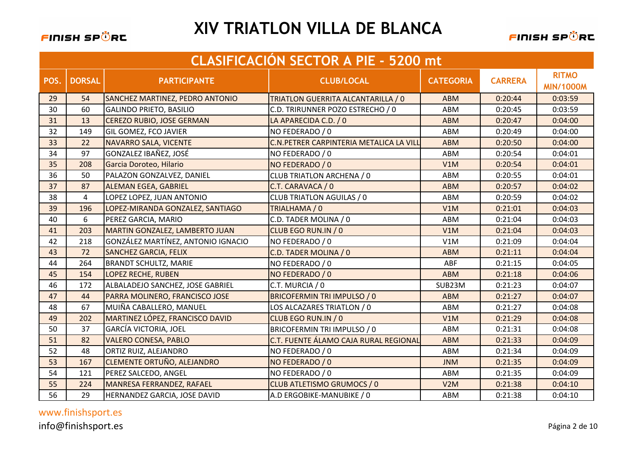

#### FINISH SPÖRC

|      | <b>CLASIFICACIÓN SECTOR A PIE - 5200 mt</b> |                                    |                                                |                  |                |                                  |  |  |
|------|---------------------------------------------|------------------------------------|------------------------------------------------|------------------|----------------|----------------------------------|--|--|
| POS. | <b>DORSAL</b>                               | <b>PARTICIPANTE</b>                | <b>CLUB/LOCAL</b>                              | <b>CATEGORIA</b> | <b>CARRERA</b> | <b>RITMO</b><br><b>MIN/1000M</b> |  |  |
| 29   | 54                                          | SANCHEZ MARTINEZ, PEDRO ANTONIO    | TRIATLON GUERRITA ALCANTARILLA / 0             | <b>ABM</b>       | 0:20:44        | 0:03:59                          |  |  |
| 30   | 60                                          | <b>GALINDO PRIETO, BASILIO</b>     | C.D. TRIRUNNER POZO ESTRECHO / 0               | ABM              | 0:20:45        | 0:03:59                          |  |  |
| 31   | 13                                          | <b>CEREZO RUBIO, JOSE GERMAN</b>   | LA APARECIDA C.D. / 0                          | <b>ABM</b>       | 0:20:47        | 0:04:00                          |  |  |
| 32   | 149                                         | <b>GIL GOMEZ, FCO JAVIER</b>       | NO FEDERADO / 0                                | ABM              | 0:20:49        | 0:04:00                          |  |  |
| 33   | 22                                          | NAVARRO SALA, VICENTE              | <b>C.N.PETRER CARPINTERIA METALICA LA VILL</b> | <b>ABM</b>       | 0:20:50        | 0:04:00                          |  |  |
| 34   | 97                                          | GONZALEZ IBAÑEZ, JOSÉ              | NO FEDERADO / 0                                | ABM              | 0:20:54        | 0:04:01                          |  |  |
| 35   | 208                                         | Garcia Doroteo, Hilario            | NO FEDERADO / 0                                | V1M              | 0:20:54        | 0:04:01                          |  |  |
| 36   | 50                                          | PALAZON GONZALVEZ, DANIEL          | CLUB TRIATLON ARCHENA / 0                      | ABM              | 0:20:55        | 0:04:01                          |  |  |
| 37   | 87                                          | <b>ALEMAN EGEA, GABRIEL</b>        | C.T. CARAVACA / 0                              | <b>ABM</b>       | 0:20:57        | 0:04:02                          |  |  |
| 38   | 4                                           | LOPEZ LOPEZ, JUAN ANTONIO          | <b>CLUB TRIATLON AGUILAS / 0</b>               | ABM              | 0:20:59        | 0:04:02                          |  |  |
| 39   | 196                                         | LOPEZ-MIRANDA GONZALEZ, SANTIAGO   | TRIALHAMA / 0                                  | V1M              | 0:21:01        | 0:04:03                          |  |  |
| 40   | 6                                           | PEREZ GARCIA, MARIO                | C.D. TADER MOLINA / 0                          | ABM              | 0:21:04        | 0:04:03                          |  |  |
| 41   | 203                                         | MARTIN GONZALEZ, LAMBERTO JUAN     | CLUB EGO RUN.IN / 0                            | V1M              | 0:21:04        | 0:04:03                          |  |  |
| 42   | 218                                         | GONZÁLEZ MARTÍNEZ, ANTONIO IGNACIO | NO FEDERADO / 0                                | V1M              | 0:21:09        | 0:04:04                          |  |  |
| 43   | 72                                          | <b>SANCHEZ GARCIA, FELIX</b>       | C.D. TADER MOLINA / 0                          | <b>ABM</b>       | 0:21:11        | 0:04:04                          |  |  |
| 44   | 264                                         | <b>BRANDT SCHULTZ, MARIE</b>       | NO FEDERADO / 0                                | ABF              | 0:21:15        | 0:04:05                          |  |  |
| 45   | 154                                         | LOPEZ RECHE, RUBEN                 | NO FEDERADO / 0                                | <b>ABM</b>       | 0:21:18        | 0:04:06                          |  |  |
| 46   | 172                                         | ALBALADEJO SANCHEZ, JOSE GABRIEL   | C.T. MURCIA / 0                                | SUB23M           | 0:21:23        | 0:04:07                          |  |  |
| 47   | 44                                          | PARRA MOLINERO, FRANCISCO JOSE     | <b>BRICOFERMIN TRI IMPULSO / 0</b>             | <b>ABM</b>       | 0:21:27        | 0:04:07                          |  |  |
| 48   | 67                                          | MUIÑA CABALLERO, MANUEL            | LOS ALCAZARES TRIATLON / 0                     | ABM              | 0:21:27        | 0:04:08                          |  |  |
| 49   | 202                                         | MARTINEZ LÓPEZ, FRANCISCO DAVID    | CLUB EGO RUN.IN / 0                            | V1M              | 0:21:29        | 0:04:08                          |  |  |
| 50   | 37                                          | <b>GARCÍA VICTORIA, JOEL</b>       | BRICOFERMIN TRI IMPULSO / 0                    | ABM              | 0:21:31        | 0:04:08                          |  |  |
| 51   | 82                                          | <b>VALERO CONESA, PABLO</b>        | C.T. FUENTE ÁLAMO CAJA RURAL REGIONAL          | <b>ABM</b>       | 0:21:33        | 0:04:09                          |  |  |
| 52   | 48                                          | ORTIZ RUIZ, ALEJANDRO              | NO FEDERADO / 0                                | ABM              | 0:21:34        | 0:04:09                          |  |  |
| 53   | 167                                         | CLEMENTE ORTUÑO, ALEJANDRO         | NO FEDERADO / 0                                | <b>JNM</b>       | 0:21:35        | 0:04:09                          |  |  |
| 54   | 121                                         | PEREZ SALCEDO, ANGEL               | NO FEDERADO / 0                                | ABM              | 0:21:35        | 0:04:09                          |  |  |
| 55   | 224                                         | MANRESA FERRANDEZ, RAFAEL          | <b>CLUB ATLETISMO GRUMOCS / 0</b>              | V2M              | 0:21:38        | 0:04:10                          |  |  |
| 56   | 29                                          | HERNANDEZ GARCIA, JOSE DAVID       | A.D ERGOBIKE-MANUBIKE / 0                      | ABM              | 0:21:38        | 0:04:10                          |  |  |

www.finishsport.es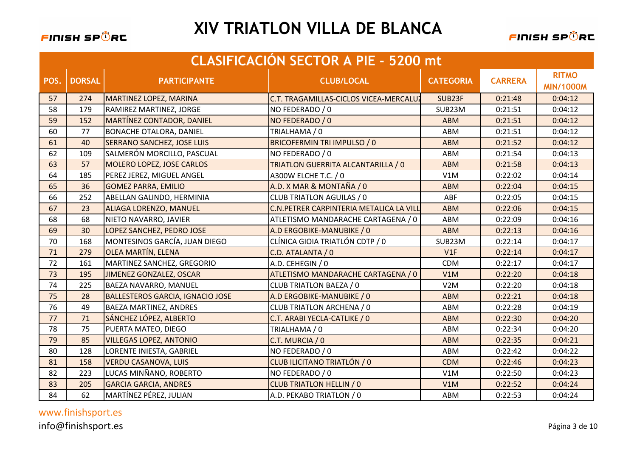

### FINISH SPÖRC

|      | <b>CLASIFICACIÓN SECTOR A PIE - 5200 mt</b> |                                         |                                         |                  |                |                                  |  |
|------|---------------------------------------------|-----------------------------------------|-----------------------------------------|------------------|----------------|----------------------------------|--|
| POS. | <b>DORSAL</b>                               | <b>PARTICIPANTE</b>                     | <b>CLUB/LOCAL</b>                       | <b>CATEGORIA</b> | <b>CARRERA</b> | <b>RITMO</b><br><b>MIN/1000M</b> |  |
| 57   | 274                                         | MARTINEZ LOPEZ, MARINA                  | C.T. TRAGAMILLAS-CICLOS VICEA-MERCALUZ  | SUB23F           | 0:21:48        | 0:04:12                          |  |
| 58   | 179                                         | RAMIREZ MARTINEZ, JORGE                 | NO FEDERADO / 0                         | SUB23M           | 0:21:51        | 0:04:12                          |  |
| 59   | 152                                         | <b>MARTÍNEZ CONTADOR, DANIEL</b>        | NO FEDERADO / 0                         | <b>ABM</b>       | 0:21:51        | 0:04:12                          |  |
| 60   | 77                                          | <b>BONACHE OTALORA, DANIEL</b>          | TRIALHAMA / 0                           | ABM              | 0:21:51        | 0:04:12                          |  |
| 61   | 40                                          | <b>SERRANO SANCHEZ, JOSE LUIS</b>       | <b>BRICOFERMIN TRI IMPULSO / 0</b>      | <b>ABM</b>       | 0:21:52        | 0:04:12                          |  |
| 62   | 109                                         | SALMERÓN MORCILLO, PASCUAL              | NO FEDERADO / 0                         | ABM              | 0:21:54        | 0:04:13                          |  |
| 63   | 57                                          | <b>MOLERO LOPEZ, JOSE CARLOS</b>        | TRIATLON GUERRITA ALCANTARILLA / 0      | <b>ABM</b>       | 0:21:58        | 0:04:13                          |  |
| 64   | 185                                         | PEREZ JEREZ, MIGUEL ANGEL               | A300W ELCHE T.C. / 0                    | V1M              | 0:22:02        | 0:04:14                          |  |
| 65   | 36                                          | <b>GOMEZ PARRA, EMILIO</b>              | A.D. X MAR & MONTAÑA / 0                | <b>ABM</b>       | 0:22:04        | 0:04:15                          |  |
| 66   | 252                                         | ABELLAN GALINDO, HERMINIA               | <b>CLUB TRIATLON AGUILAS / 0</b>        | ABF              | 0:22:05        | 0:04:15                          |  |
| 67   | 23                                          | <b>ALIAGA LORENZO, MANUEL</b>           | C.N.PETRER CARPINTERIA METALICA LA VILL | <b>ABM</b>       | 0:22:06        | 0:04:15                          |  |
| 68   | 68                                          | NIETO NAVARRO, JAVIER                   | ATLETISMO MANDARACHE CARTAGENA / 0      | ABM              | 0:22:09        | 0:04:16                          |  |
| 69   | 30                                          | LOPEZ SANCHEZ, PEDRO JOSE               | A.D ERGOBIKE-MANUBIKE / 0               | <b>ABM</b>       | 0:22:13        | 0:04:16                          |  |
| 70   | 168                                         | MONTESINOS GARCÍA, JUAN DIEGO           | CLÍNICA GIOIA TRIATLÓN CDTP / 0         | SUB23M           | 0:22:14        | 0:04:17                          |  |
| 71   | 279                                         | <b>OLEA MARTÍN, ELENA</b>               | C.D. ATALANTA / 0                       | V1F              | 0:22:14        | 0:04:17                          |  |
| 72   | 161                                         | MARTINEZ SANCHEZ, GREGORIO              | A.D. CEHEGIN / 0                        | <b>CDM</b>       | 0:22:17        | 0:04:17                          |  |
| 73   | 195                                         | JIMENEZ GONZALEZ, OSCAR                 | ATLETISMO MANDARACHE CARTAGENA / 0      | V1M              | 0:22:20        | 0:04:18                          |  |
| 74   | 225                                         | BAEZA NAVARRO, MANUEL                   | <b>CLUB TRIATLON BAEZA / 0</b>          | V2M              | 0:22:20        | 0:04:18                          |  |
| 75   | 28                                          | <b>BALLESTEROS GARCIA, IGNACIO JOSE</b> | A.D ERGOBIKE-MANUBIKE / 0               | <b>ABM</b>       | 0:22:21        | 0:04:18                          |  |
| 76   | 49                                          | BAEZA MARTINEZ, ANDRES                  | CLUB TRIATLON ARCHENA / 0               | ABM              | 0:22:28        | 0:04:19                          |  |
| 77   | 71                                          | SÁNCHEZ LÓPEZ, ALBERTO                  | C.T. ARABI YECLA-CATLIKE / 0            | <b>ABM</b>       | 0:22:30        | 0:04:20                          |  |
| 78   | 75                                          | PUERTA MATEO, DIEGO                     | TRIALHAMA / 0                           | ABM              | 0:22:34        | 0:04:20                          |  |
| 79   | 85                                          | <b>VILLEGAS LOPEZ, ANTONIO</b>          | C.T. MURCIA / 0                         | <b>ABM</b>       | 0:22:35        | 0:04:21                          |  |
| 80   | 128                                         | LORENTE INIESTA, GABRIEL                | NO FEDERADO / 0                         | ABM              | 0:22:42        | 0:04:22                          |  |
| 81   | 158                                         | <b>VERDU CASANOVA, LUIS</b>             | CLUB ILICITANO TRIATLÓN / 0             | <b>CDM</b>       | 0:22:46        | 0:04:23                          |  |
| 82   | 223                                         | LUCAS MINÑANO, ROBERTO                  | NO FEDERADO / 0                         | V1M              | 0:22:50        | 0:04:23                          |  |
| 83   | 205                                         | <b>GARCIA GARCIA, ANDRES</b>            | <b>CLUB TRIATLON HELLIN / 0</b>         | V1M              | 0:22:52        | 0:04:24                          |  |
| 84   | 62                                          | MARTÍNEZ PÉREZ, JULIAN                  | A.D. PEKABO TRIATLON / 0                | ABM              | 0:22:53        | 0:04:24                          |  |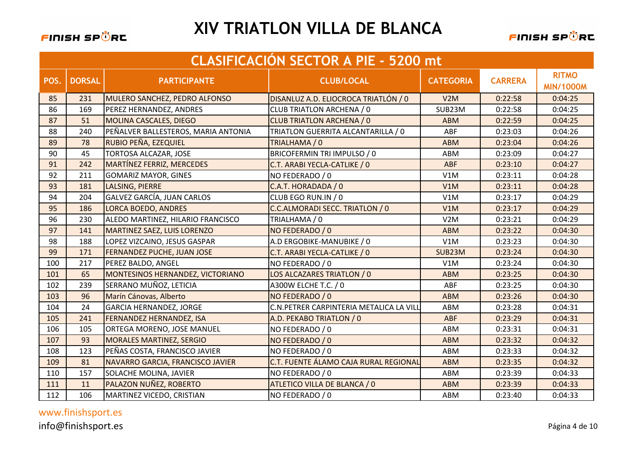

|      | <b>CLASIFICACIÓN SECTOR A PIE - 5200 mt</b> |                                     |                                         |                  |                |                                  |  |
|------|---------------------------------------------|-------------------------------------|-----------------------------------------|------------------|----------------|----------------------------------|--|
| POS. | <b>DORSAL</b>                               | <b>PARTICIPANTE</b>                 | <b>CLUB/LOCAL</b>                       | <b>CATEGORIA</b> | <b>CARRERA</b> | <b>RITMO</b><br><b>MIN/1000M</b> |  |
| 85   | 231                                         | MULERO SANCHEZ, PEDRO ALFONSO       | DISANLUZ A.D. ELIOCROCA TRIATLÓN / 0    | V2M              | 0:22:58        | 0:04:25                          |  |
| 86   | 169                                         | PEREZ HERNANDEZ, ANDRES             | CLUB TRIATLON ARCHENA / 0               | SUB23M           | 0:22:58        | 0:04:25                          |  |
| 87   | 51                                          | <b>MOLINA CASCALES, DIEGO</b>       | <b>CLUB TRIATLON ARCHENA / 0</b>        | <b>ABM</b>       | 0:22:59        | 0:04:25                          |  |
| 88   | 240                                         | PEÑALVER BALLESTEROS, MARIA ANTONIA | TRIATLON GUERRITA ALCANTARILLA / 0      | ABF              | 0:23:03        | 0:04:26                          |  |
| 89   | 78                                          | RUBIO PEÑA, EZEQUIEL                | TRIALHAMA / 0                           | <b>ABM</b>       | 0:23:04        | 0:04:26                          |  |
| 90   | 45                                          | TORTOSA ALCAZAR, JOSE               | <b>BRICOFERMIN TRI IMPULSO / 0</b>      | ABM              | 0:23:09        | 0:04:27                          |  |
| 91   | 242                                         | <b>MARTÍNEZ FERRIZ, MERCEDES</b>    | C.T. ARABI YECLA-CATLIKE / 0            | <b>ABF</b>       | 0:23:10        | 0:04:27                          |  |
| 92   | 211                                         | <b>GOMARIZ MAYOR, GINES</b>         | NO FEDERADO / 0                         | V1M              | 0:23:11        | 0:04:28                          |  |
| 93   | 181                                         | LALSING, PIERRE                     | C.A.T. HORADADA / 0                     | V1M              | 0:23:11        | 0:04:28                          |  |
| 94   | 204                                         | <b>GALVEZ GARCÍA, JUAN CARLOS</b>   | CLUB EGO RUN.IN / 0                     | V1M              | 0:23:17        | 0:04:29                          |  |
| 95   | 186                                         | <b>LORCA BOEDO, ANDRES</b>          | C.C.ALMORADI SECC. TRIATLON / 0         | V1M              | 0:23:17        | 0:04:29                          |  |
| 96   | 230                                         | ALEDO MARTINEZ, HILARIO FRANCISCO   | TRIALHAMA / 0                           | V2M              | 0:23:21        | 0:04:29                          |  |
| 97   | 141                                         | MARTINEZ SAEZ, LUIS LORENZO         | NO FEDERADO / 0                         | <b>ABM</b>       | 0:23:22        | 0:04:30                          |  |
| 98   | 188                                         | LOPEZ VIZCAINO, JESUS GASPAR        | A.D ERGOBIKE-MANUBIKE / 0               | V1M              | 0:23:23        | 0:04:30                          |  |
| 99   | 171                                         | FERNANDEZ PUCHE, JUAN JOSE          | C.T. ARABI YECLA-CATLIKE / 0            | SUB23M           | 0:23:24        | 0:04:30                          |  |
| 100  | 217                                         | PEREZ BALDO, ANGEL                  | NO FEDERADO / 0                         | V1M              | 0:23:24        | 0:04:30                          |  |
| 101  | 65                                          | MONTESINOS HERNANDEZ, VICTORIANO    | LOS ALCAZARES TRIATLON / 0              | <b>ABM</b>       | 0:23:25        | 0:04:30                          |  |
| 102  | 239                                         | SERRANO MUÑOZ, LETICIA              | A300W ELCHE T.C. / 0                    | ABF              | 0:23:25        | 0:04:30                          |  |
| 103  | 96                                          | Marín Cánovas, Alberto              | NO FEDERADO / 0                         | <b>ABM</b>       | 0:23:26        | 0:04:30                          |  |
| 104  | 24                                          | <b>GARCIA HERNANDEZ, JORGE</b>      | C.N.PETRER CARPINTERIA METALICA LA VILL | ABM              | 0:23:28        | 0:04:31                          |  |
| 105  | 241                                         | FERNANDEZ HERNANDEZ, ISA            | A.D. PEKABO TRIATLON / 0                | <b>ABF</b>       | 0:23:29        | 0:04:31                          |  |
| 106  | 105                                         | ORTEGA MORENO, JOSE MANUEL          | NO FEDERADO / 0                         | ABM              | 0:23:31        | 0:04:31                          |  |
| 107  | 93                                          | <b>MORALES MARTINEZ, SERGIO</b>     | NO FEDERADO / 0                         | <b>ABM</b>       | 0:23:32        | 0:04:32                          |  |
| 108  | 123                                         | PEÑAS COSTA, FRANCISCO JAVIER       | NO FEDERADO / 0                         | ABM              | 0:23:33        | 0:04:32                          |  |
| 109  | 81                                          | NAVARRO GARCIA, FRANCISCO JAVIER    | C.T. FUENTE ÁLAMO CAJA RURAL REGIONAL   | <b>ABM</b>       | 0:23:35        | 0:04:32                          |  |
| 110  | 157                                         | SOLACHE MOLINA, JAVIER              | NO FEDERADO / 0                         | ABM              | 0:23:39        | 0:04:33                          |  |
| 111  | 11                                          | PALAZON NUÑEZ, ROBERTO              | ATLETICO VILLA DE BLANCA / 0            | <b>ABM</b>       | 0:23:39        | 0:04:33                          |  |
| 112  | 106                                         | MARTINEZ VICEDO, CRISTIAN           | NO FEDERADO / 0                         | ABM              | 0:23:40        | 0:04:33                          |  |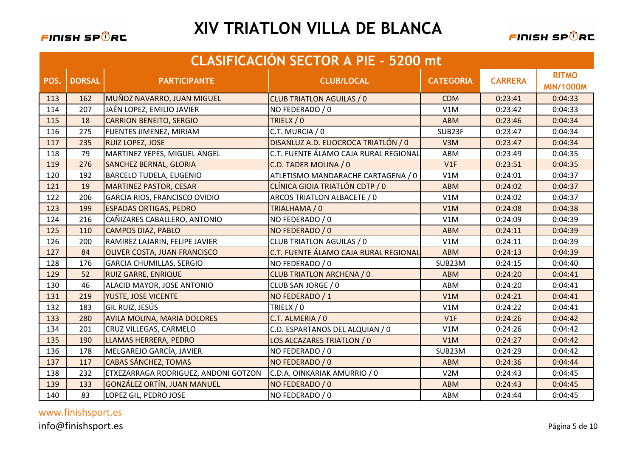

### FINISH SPÖRC

|      | <b>CLASIFICACIÓN SECTOR A PIE - 5200 mt</b> |                                      |                                       |                  |                |                                  |  |
|------|---------------------------------------------|--------------------------------------|---------------------------------------|------------------|----------------|----------------------------------|--|
| POS. | <b>DORSAL</b>                               | <b>PARTICIPANTE</b>                  | <b>CLUB/LOCAL</b>                     | <b>CATEGORIA</b> | <b>CARRERA</b> | <b>RITMO</b><br><b>MIN/1000M</b> |  |
| 113  | 162                                         | MUÑOZ NAVARRO, JUAN MIGUEL           | <b>CLUB TRIATLON AGUILAS / 0</b>      | <b>CDM</b>       | 0:23:41        | 0:04:33                          |  |
| 114  | 207                                         | JAÉN LOPEZ, EMILIO JAVIER            | NO FEDERADO / 0                       | V1M              | 0:23:42        | 0:04:33                          |  |
| 115  | 18                                          | <b>CARRION BENEITO, SERGIO</b>       | TRIELX / 0                            | <b>ABM</b>       | 0:23:46        | 0:04:34                          |  |
| 116  | 275                                         | FUENTES JIMENEZ, MIRIAM              | C.T. MURCIA / 0                       | SUB23F           | 0:23:47        | 0:04:34                          |  |
| 117  | 235                                         | <b>RUIZ LOPEZ, JOSE</b>              | DISANLUZ A.D. ELIOCROCA TRIATLÓN / 0  | V3M              | 0:23:47        | 0:04:34                          |  |
| 118  | 79                                          | MARTINEZ YEPES, MIGUEL ANGEL         | C.T. FUENTE ÁLAMO CAJA RURAL REGIONAL | ABM              | 0:23:49        | 0:04:35                          |  |
| 119  | 276                                         | <b>SANCHEZ BERNAL, GLORIA</b>        | C.D. TADER MOLINA / 0                 | V1F              | 0:23:51        | 0:04:35                          |  |
| 120  | 192                                         | <b>BARCELO TUDELA, EUGENIO</b>       | ATLETISMO MANDARACHE CARTAGENA / 0    | V1M              | 0:24:01        | 0:04:37                          |  |
| 121  | 19                                          | <b>MARTINEZ PASTOR, CESAR</b>        | CLÍNICA GIOIA TRIATLÓN CDTP / 0       | <b>ABM</b>       | 0:24:02        | 0:04:37                          |  |
| 122  | 206                                         | <b>GARCIA RIOS, FRANCISCO OVIDIO</b> | ARCOS TRIATLON ALBACETE / 0           | V1M              | 0:24:02        | 0:04:37                          |  |
| 123  | 199                                         | <b>ESPADAS ORTIGAS, PEDRO</b>        | TRIALHAMA / 0                         | V1M              | 0:24:08        | 0:04:38                          |  |
| 124  | 216                                         | CAÑIZARES CABALLERO, ANTONIO         | NO FEDERADO / 0                       | V1M              | 0:24:09        | 0:04:39                          |  |
| 125  | 110                                         | <b>CAMPOS DIAZ, PABLO</b>            | NO FEDERADO / 0                       | <b>ABM</b>       | 0:24:11        | 0:04:39                          |  |
| 126  | 200                                         | RAMIREZ LAJARIN, FELIPE JAVIER       | CLUB TRIATLON AGUILAS / 0             | V1M              | 0:24:11        | 0:04:39                          |  |
| 127  | 84                                          | OLIVER COSTA, JUAN FRANCISCO         | C.T. FUENTE ÁLAMO CAJA RURAL REGIONAL | <b>ABM</b>       | 0:24:13        | 0:04:39                          |  |
| 128  | 176                                         | <b>GARCIA CHUMILLAS, SERGIO</b>      | NO FEDERADO / 0                       | SUB23M           | 0:24:15        | 0:04:40                          |  |
| 129  | 52                                          | <b>RUIZ GARRE, ENRIQUE</b>           | <b>CLUB TRIATLON ARCHENA / 0</b>      | <b>ABM</b>       | 0:24:20        | 0:04:41                          |  |
| 130  | 46                                          | ALACID MAYOR, JOSE ANTONIO           | CLUB SAN JORGE / 0                    | ABM              | 0:24:20        | 0:04:41                          |  |
| 131  | 219                                         | YUSTE, JOSE VICENTE                  | NO FEDERADO / 1                       | V1M              | 0:24:21        | 0:04:41                          |  |
| 132  | 183                                         | GIL RUIZ, JESÚS                      | TRIELX / 0                            | V1M              | 0:24:22        | 0:04:41                          |  |
| 133  | 280                                         | <b>AVILA MOLINA, MARIA DOLORES</b>   | C.T. ALMERIA / 0                      | V1F              | 0:24:26        | 0:04:42                          |  |
| 134  | 201                                         | CRUZ VILLEGAS, CARMELO               | C.D. ESPARTANOS DEL ALQUIAN / 0       | V1M              | 0:24:26        | 0:04:42                          |  |
| 135  | 190                                         | LLAMAS HERRERA, PEDRO                | LOS ALCAZARES TRIATLON / 0            | V1M              | 0:24:27        | 0:04:42                          |  |
| 136  | 178                                         | MELGAREJO GARCÍA, JAVIER             | NO FEDERADO / 0                       | SUB23M           | 0:24:29        | 0:04:42                          |  |
| 137  | 117                                         | <b>CABAS SÁNCHEZ, TOMAS</b>          | NO FEDERADO / 0                       | <b>ABM</b>       | 0:24:36        | 0:04:44                          |  |
| 138  | 232                                         | ETXEZARRAGA RODRIGUEZ, ANDONI GOTZON | C.D.A. OINKARIAK AMURRIO / 0          | V2M              | 0:24:43        | 0:04:45                          |  |
| 139  | 133                                         | <b>GONZÁLEZ ORTÍN, JUAN MANUEL</b>   | NO FEDERADO / 0                       | <b>ABM</b>       | 0:24:43        | 0:04:45                          |  |
| 140  | 83                                          | LOPEZ GIL, PEDRO JOSE                | NO FEDERADO / 0                       | ABM              | 0:24:44        | 0:04:45                          |  |

www.finishsport.es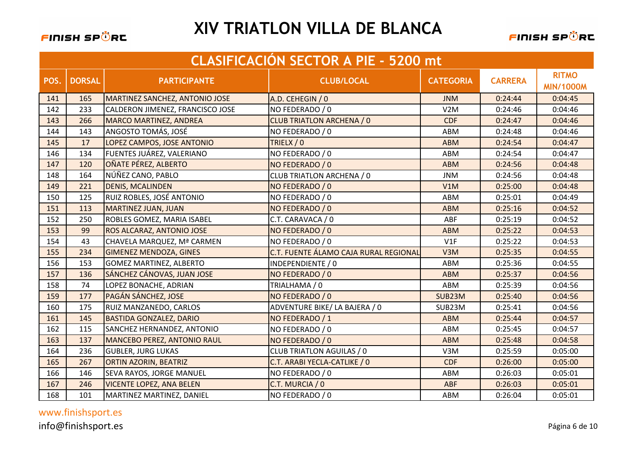

### FINISH SPÖRC

|      | <b>CLASIFICACIÓN SECTOR A PIE - 5200 mt</b> |                                    |                                       |                  |                |                                  |  |
|------|---------------------------------------------|------------------------------------|---------------------------------------|------------------|----------------|----------------------------------|--|
| POS. | <b>DORSAL</b>                               | <b>PARTICIPANTE</b>                | <b>CLUB/LOCAL</b>                     | <b>CATEGORIA</b> | <b>CARRERA</b> | <b>RITMO</b><br><b>MIN/1000M</b> |  |
| 141  | 165                                         | MARTINEZ SANCHEZ, ANTONIO JOSE     | A.D. CEHEGIN / 0                      | <b>JNM</b>       | 0:24:44        | 0:04:45                          |  |
| 142  | 233                                         | CALDERON JIMENEZ, FRANCISCO JOSE   | NO FEDERADO / 0                       | V2M              | 0:24:46        | 0:04:46                          |  |
| 143  | 266                                         | <b>MARCO MARTINEZ, ANDREA</b>      | <b>CLUB TRIATLON ARCHENA / 0</b>      | <b>CDF</b>       | 0:24:47        | 0:04:46                          |  |
| 144  | 143                                         | ANGOSTO TOMÁS, JOSÉ                | NO FEDERADO / 0                       | ABM              | 0:24:48        | 0:04:46                          |  |
| 145  | 17                                          | LOPEZ CAMPOS, JOSE ANTONIO         | TRIELX / 0                            | <b>ABM</b>       | 0:24:54        | 0:04:47                          |  |
| 146  | 134                                         | FUENTES JUÁREZ, VALERIANO          | NO FEDERADO / 0                       | ABM              | 0:24:54        | 0:04:47                          |  |
| 147  | 120                                         | OÑATE PÉREZ, ALBERTO               | NO FEDERADO / 0                       | <b>ABM</b>       | 0:24:56        | 0:04:48                          |  |
| 148  | 164                                         | NÚÑEZ CANO, PABLO                  | CLUB TRIATLON ARCHENA / 0             | <b>JNM</b>       | 0:24:56        | 0:04:48                          |  |
| 149  | 221                                         | <b>DENIS, MCALINDEN</b>            | NO FEDERADO / 0                       | V1M              | 0:25:00        | 0:04:48                          |  |
| 150  | 125                                         | RUIZ ROBLES, JOSÉ ANTONIO          | NO FEDERADO / 0                       | ABM              | 0:25:01        | 0:04:49                          |  |
| 151  | 113                                         | <b>MARTINEZ JUAN, JUAN</b>         | NO FEDERADO / 0                       | <b>ABM</b>       | 0:25:16        | 0:04:52                          |  |
| 152  | 250                                         | ROBLES GOMEZ, MARIA ISABEL         | C.T. CARAVACA / 0                     | ABF              | 0:25:19        | 0:04:52                          |  |
| 153  | 99                                          | <b>ROS ALCARAZ, ANTONIO JOSE</b>   | NO FEDERADO / 0                       | <b>ABM</b>       | 0:25:22        | 0:04:53                          |  |
| 154  | 43                                          | CHAVELA MARQUEZ, Mª CARMEN         | NO FEDERADO / 0                       | V1F              | 0:25:22        | 0:04:53                          |  |
| 155  | 234                                         | <b>GIMENEZ MENDOZA, GINES</b>      | C.T. FUENTE ÁLAMO CAJA RURAL REGIONAL | V3M              | 0:25:35        | 0:04:55                          |  |
| 156  | 153                                         | <b>GOMEZ MARTINEZ, ALBERTO</b>     | INDEPENDIENTE / 0                     | ABM              | 0:25:36        | 0:04:55                          |  |
| 157  | 136                                         | SÁNCHEZ CÁNOVAS, JUAN JOSE         | NO FEDERADO / 0                       | <b>ABM</b>       | 0:25:37        | 0:04:56                          |  |
| 158  | 74                                          | LOPEZ BONACHE, ADRIAN              | TRIALHAMA / 0                         | ABM              | 0:25:39        | 0:04:56                          |  |
| 159  | 177                                         | PAGÁN SÁNCHEZ, JOSE                | NO FEDERADO / 0                       | SUB23M           | 0:25:40        | 0:04:56                          |  |
| 160  | 175                                         | RUIZ MANZANEDO, CARLOS             | ADVENTURE BIKE/ LA BAJERA / 0         | SUB23M           | 0:25:41        | 0:04:56                          |  |
| 161  | 145                                         | <b>BASTIDA GONZALEZ, DARIO</b>     | NO FEDERADO / 1                       | <b>ABM</b>       | 0:25:44        | 0:04:57                          |  |
| 162  | 115                                         | SANCHEZ HERNANDEZ, ANTONIO         | NO FEDERADO / 0                       | ABM              | 0:25:45        | 0:04:57                          |  |
| 163  | 137                                         | <b>MANCEBO PEREZ, ANTONIO RAUL</b> | NO FEDERADO / 0                       | <b>ABM</b>       | 0:25:48        | 0:04:58                          |  |
| 164  | 236                                         | <b>GUBLER, JURG LUKAS</b>          | CLUB TRIATLON AGUILAS / 0             | V3M              | 0:25:59        | 0:05:00                          |  |
| 165  | 267                                         | <b>ORTIN AZORIN, BEATRIZ</b>       | C.T. ARABI YECLA-CATLIKE / 0          | <b>CDF</b>       | 0:26:00        | 0:05:00                          |  |
| 166  | 146                                         | SEVA RAYOS, JORGE MANUEL           | NO FEDERADO / 0                       | ABM              | 0:26:03        | 0:05:01                          |  |
| 167  | 246                                         | <b>VICENTE LOPEZ, ANA BELEN</b>    | C.T. MURCIA / 0                       | <b>ABF</b>       | 0:26:03        | 0:05:01                          |  |
| 168  | 101                                         | MARTINEZ MARTINEZ, DANIEL          | NO FEDERADO / 0                       | ABM              | 0:26:04        | 0:05:01                          |  |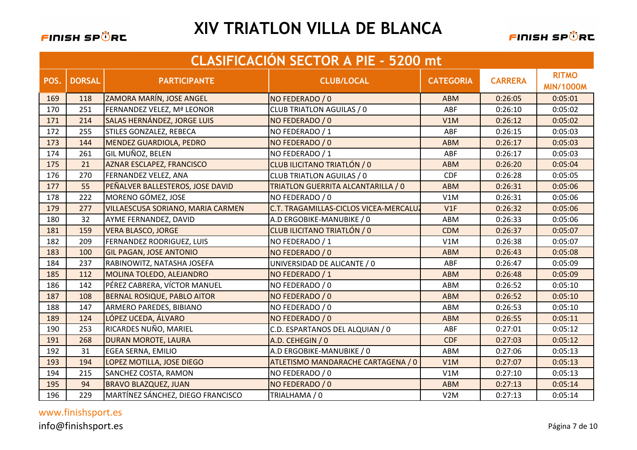

### FINISH SPÖRC

|      | <b>CLASIFICACIÓN SECTOR A PIE - 5200 mt</b> |                                    |                                        |                  |                |                                  |  |
|------|---------------------------------------------|------------------------------------|----------------------------------------|------------------|----------------|----------------------------------|--|
| POS. | <b>DORSAL</b>                               | <b>PARTICIPANTE</b>                | <b>CLUB/LOCAL</b>                      | <b>CATEGORIA</b> | <b>CARRERA</b> | <b>RITMO</b><br><b>MIN/1000M</b> |  |
| 169  | 118                                         | ZAMORA MARÍN, JOSE ANGEL           | NO FEDERADO / 0                        | <b>ABM</b>       | 0:26:05        | 0:05:01                          |  |
| 170  | 251                                         | FERNANDEZ VELEZ, Mª LEONOR         | <b>CLUB TRIATLON AGUILAS / 0</b>       | ABF              | 0:26:10        | 0:05:02                          |  |
| 171  | 214                                         | SALAS HERNÁNDEZ, JORGE LUIS        | NO FEDERADO / 0                        | V1M              | 0:26:12        | 0:05:02                          |  |
| 172  | 255                                         | STILES GONZALEZ, REBECA            | NO FEDERADO / 1                        | ABF              | 0:26:15        | 0:05:03                          |  |
| 173  | 144                                         | <b>MENDEZ GUARDIOLA, PEDRO</b>     | NO FEDERADO / 0                        | <b>ABM</b>       | 0:26:17        | 0:05:03                          |  |
| 174  | 261                                         | GIL MUÑOZ, BELEN                   | NO FEDERADO / 1                        | ABF              | 0:26:17        | 0:05:03                          |  |
| 175  | 21                                          | <b>AZNAR ESCLAPEZ, FRANCISCO</b>   | CLUB ILICITANO TRIATLÓN / 0            | <b>ABM</b>       | 0:26:20        | 0:05:04                          |  |
| 176  | 270                                         | FERNANDEZ VELEZ, ANA               | CLUB TRIATLON AGUILAS / 0              | <b>CDF</b>       | 0:26:28        | 0:05:05                          |  |
| 177  | 55                                          | PEÑALVER BALLESTEROS, JOSE DAVID   | TRIATLON GUERRITA ALCANTARILLA / 0     | <b>ABM</b>       | 0:26:31        | 0:05:06                          |  |
| 178  | 222                                         | MORENO GÓMEZ, JOSE                 | NO FEDERADO / 0                        | V1M              | 0:26:31        | 0:05:06                          |  |
| 179  | 277                                         | VILLAESCUSA SORIANO, MARIA CARMEN  | C.T. TRAGAMILLAS-CICLOS VICEA-MERCALUZ | V1F              | 0:26:32        | 0:05:06                          |  |
| 180  | 32                                          | AYME FERNANDEZ, DAVID              | A.D ERGOBIKE-MANUBIKE / 0              | ABM              | 0:26:33        | 0:05:06                          |  |
| 181  | 159                                         | <b>VERA BLASCO, JORGE</b>          | CLUB ILICITANO TRIATLÓN / 0            | <b>CDM</b>       | 0:26:37        | 0:05:07                          |  |
| 182  | 209                                         | FERNANDEZ RODRIGUEZ, LUIS          | NO FEDERADO / 1                        | V1M              | 0:26:38        | 0:05:07                          |  |
| 183  | 100                                         | <b>GIL PAGAN, JOSE ANTONIO</b>     | NO FEDERADO / 0                        | <b>ABM</b>       | 0:26:43        | 0:05:08                          |  |
| 184  | 237                                         | RABINOWITZ, NATASHA JOSEFA         | UNIVERSIDAD DE ALICANTE / 0            | ABF              | 0:26:47        | 0:05:09                          |  |
| 185  | 112                                         | MOLINA TOLEDO, ALEJANDRO           | NO FEDERADO / 1                        | <b>ABM</b>       | 0:26:48        | 0:05:09                          |  |
| 186  | 142                                         | PÉREZ CABRERA, VÍCTOR MANUEL       | NO FEDERADO / 0                        | ABM              | 0:26:52        | 0:05:10                          |  |
| 187  | 108                                         | <b>BERNAL ROSIQUE, PABLO AITOR</b> | NO FEDERADO / 0                        | <b>ABM</b>       | 0:26:52        | 0:05:10                          |  |
| 188  | 147                                         | ARMERO PAREDES, BIBIANO            | NO FEDERADO / 0                        | ABM              | 0:26:53        | 0:05:10                          |  |
| 189  | 124                                         | LÓPEZ UCEDA, ÁLVARO                | NO FEDERADO / 0                        | <b>ABM</b>       | 0:26:55        | 0:05:11                          |  |
| 190  | 253                                         | RICARDES NUÑO, MARIEL              | C.D. ESPARTANOS DEL ALQUIAN / 0        | ABF              | 0:27:01        | 0:05:12                          |  |
| 191  | 268                                         | <b>DURAN MOROTE, LAURA</b>         | A.D. CEHEGIN / 0                       | <b>CDF</b>       | 0:27:03        | 0:05:12                          |  |
| 192  | 31                                          | EGEA SERNA, EMILIO                 | A.D ERGOBIKE-MANUBIKE / 0              | ABM              | 0:27:06        | 0:05:13                          |  |
| 193  | 194                                         | LOPEZ MOTILLA, JOSE DIEGO          | ATLETISMO MANDARACHE CARTAGENA / 0     | V1M              | 0:27:07        | 0:05:13                          |  |
| 194  | 215                                         | SANCHEZ COSTA, RAMON               | NO FEDERADO / 0                        | V1M              | 0:27:10        | 0:05:13                          |  |
| 195  | 94                                          | <b>BRAVO BLAZQUEZ, JUAN</b>        | NO FEDERADO / 0                        | <b>ABM</b>       | 0:27:13        | 0:05:14                          |  |
| 196  | 229                                         | MARTÍNEZ SÁNCHEZ, DIEGO FRANCISCO  | TRIALHAMA / 0                          | V <sub>2</sub> M | 0:27:13        | 0:05:14                          |  |

www.finishsport.es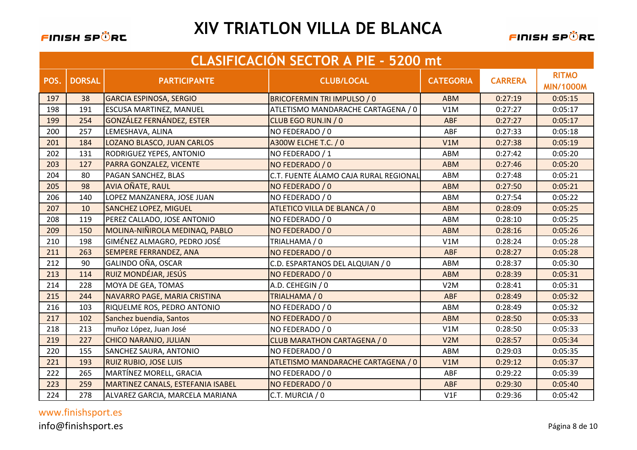

### FINISH SPÖRC

|      | <b>CLASIFICACIÓN SECTOR A PIE - 5200 mt</b> |                                   |                                       |                  |                |                                  |  |  |
|------|---------------------------------------------|-----------------------------------|---------------------------------------|------------------|----------------|----------------------------------|--|--|
| POS. | <b>DORSAL</b>                               | <b>PARTICIPANTE</b>               | <b>CLUB/LOCAL</b>                     | <b>CATEGORIA</b> | <b>CARRERA</b> | <b>RITMO</b><br><b>MIN/1000M</b> |  |  |
| 197  | 38                                          | <b>GARCIA ESPINOSA, SERGIO</b>    | <b>BRICOFERMIN TRI IMPULSO / 0</b>    | <b>ABM</b>       | 0:27:19        | 0:05:15                          |  |  |
| 198  | 191                                         | ESCUSA MARTINEZ, MANUEL           | ATLETISMO MANDARACHE CARTAGENA / 0    | V1M              | 0:27:27        | 0:05:17                          |  |  |
| 199  | 254                                         | <b>GONZÁLEZ FERNÁNDEZ, ESTER</b>  | CLUB EGO RUN.IN / 0                   | <b>ABF</b>       | 0:27:27        | 0:05:17                          |  |  |
| 200  | 257                                         | LEMESHAVA, ALINA                  | NO FEDERADO / 0                       | ABF              | 0:27:33        | 0:05:18                          |  |  |
| 201  | 184                                         | LOZANO BLASCO, JUAN CARLOS        | A300W ELCHE T.C. / 0                  | V1M              | 0:27:38        | 0:05:19                          |  |  |
| 202  | 131                                         | RODRIGUEZ YEPES, ANTONIO          | NO FEDERADO / 1                       | ABM              | 0:27:42        | 0:05:20                          |  |  |
| 203  | 127                                         | PARRA GONZALEZ, VICENTE           | NO FEDERADO / 0                       | <b>ABM</b>       | 0:27:46        | 0:05:20                          |  |  |
| 204  | 80                                          | PAGAN SANCHEZ, BLAS               | C.T. FUENTE ÁLAMO CAJA RURAL REGIONAL | ABM              | 0:27:48        | 0:05:21                          |  |  |
| 205  | 98                                          | <b>AVIA OÑATE, RAUL</b>           | NO FEDERADO / 0                       | <b>ABM</b>       | 0:27:50        | 0:05:21                          |  |  |
| 206  | 140                                         | LOPEZ MANZANERA, JOSE JUAN        | NO FEDERADO / 0                       | ABM              | 0:27:54        | 0:05:22                          |  |  |
| 207  | 10                                          | <b>SANCHEZ LOPEZ, MIGUEL</b>      | ATLETICO VILLA DE BLANCA / 0          | <b>ABM</b>       | 0:28:09        | 0:05:25                          |  |  |
| 208  | 119                                         | PEREZ CALLADO, JOSE ANTONIO       | NO FEDERADO / 0                       | ABM              | 0:28:10        | 0:05:25                          |  |  |
| 209  | 150                                         | MOLINA-NIÑIROLA MEDINAQ, PABLO    | NO FEDERADO / 0                       | <b>ABM</b>       | 0:28:16        | 0:05:26                          |  |  |
| 210  | 198                                         | GIMÉNEZ ALMAGRO, PEDRO JOSÉ       | TRIALHAMA / 0                         | V1M              | 0:28:24        | 0:05:28                          |  |  |
| 211  | 263                                         | <b>SEMPERE FERRANDEZ, ANA</b>     | NO FEDERADO / 0                       | ABF              | 0:28:27        | 0:05:28                          |  |  |
| 212  | 90                                          | GALINDO OÑA, OSCAR                | C.D. ESPARTANOS DEL ALQUIAN / 0       | ABM              | 0:28:37        | 0:05:30                          |  |  |
| 213  | 114                                         | RUIZ MONDÉJAR, JESÚS              | NO FEDERADO / 0                       | <b>ABM</b>       | 0:28:39        | 0:05:31                          |  |  |
| 214  | 228                                         | MOYA DE GEA, TOMAS                | A.D. CEHEGIN / 0                      | V <sub>2</sub> M | 0:28:41        | 0:05:31                          |  |  |
| 215  | 244                                         | NAVARRO PAGE, MARIA CRISTINA      | TRIALHAMA / 0                         | ABF              | 0:28:49        | 0:05:32                          |  |  |
| 216  | 103                                         | RIQUELME ROS, PEDRO ANTONIO       | NO FEDERADO / 0                       | ABM              | 0:28:49        | 0:05:32                          |  |  |
| 217  | 102                                         | Sanchez buendia, Santos           | NO FEDERADO / 0                       | <b>ABM</b>       | 0:28:50        | 0:05:33                          |  |  |
| 218  | 213                                         | muñoz López, Juan José            | NO FEDERADO / 0                       | V1M              | 0:28:50        | 0:05:33                          |  |  |
| 219  | 227                                         | <b>CHICO NARANJO, JULIAN</b>      | <b>CLUB MARATHON CARTAGENA / 0</b>    | V2M              | 0:28:57        | 0:05:34                          |  |  |
| 220  | 155                                         | SANCHEZ SAURA, ANTONIO            | NO FEDERADO / 0                       | ABM              | 0:29:03        | 0:05:35                          |  |  |
| 221  | 193                                         | <b>RUIZ RUBIO, JOSE LUIS</b>      | ATLETISMO MANDARACHE CARTAGENA / 0    | V1M              | 0:29:12        | 0:05:37                          |  |  |
| 222  | 265                                         | MARTÍNEZ MORELL, GRACIA           | NO FEDERADO / 0                       | ABF              | 0:29:22        | 0:05:39                          |  |  |
| 223  | 259                                         | MARTINEZ CANALS, ESTEFANIA ISABEL | NO FEDERADO / 0                       | ABF              | 0:29:30        | 0:05:40                          |  |  |
| 224  | 278                                         | ALVAREZ GARCIA, MARCELA MARIANA   | C.T. MURCIA / 0                       | V1F              | 0:29:36        | 0:05:42                          |  |  |

www.finishsport.es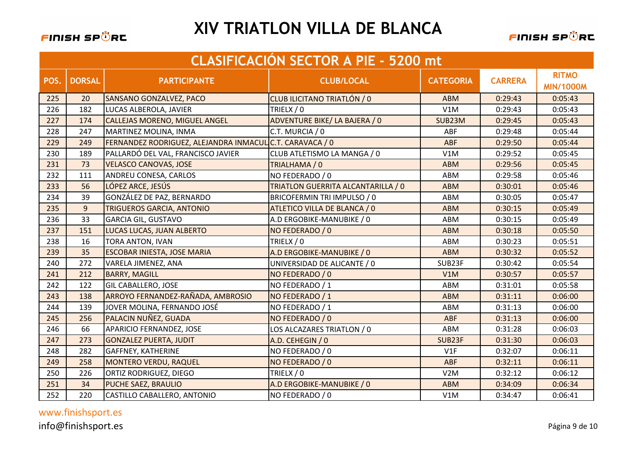

#### FINISH SPÖRC

|      | <b>CLASIFICACIÓN SECTOR A PIE - 5200 mt</b> |                                                          |                                    |                  |                |                                  |  |  |
|------|---------------------------------------------|----------------------------------------------------------|------------------------------------|------------------|----------------|----------------------------------|--|--|
| POS. | <b>DORSAL</b>                               | <b>PARTICIPANTE</b>                                      | <b>CLUB/LOCAL</b>                  | <b>CATEGORIA</b> | <b>CARRERA</b> | <b>RITMO</b><br><b>MIN/1000M</b> |  |  |
| 225  | 20                                          | SANSANO GONZALVEZ, PACO                                  | CLUB ILICITANO TRIATLÓN / 0        | <b>ABM</b>       | 0:29:43        | 0:05:43                          |  |  |
| 226  | 182                                         | LUCAS ALBEROLA, JAVIER                                   | TRIELX / 0                         | V1M              | 0:29:43        | 0:05:43                          |  |  |
| 227  | 174                                         | CALLEJAS MORENO, MIGUEL ANGEL                            | ADVENTURE BIKE/ LA BAJERA / 0      | SUB23M           | 0:29:45        | 0:05:43                          |  |  |
| 228  | 247                                         | MARTINEZ MOLINA, INMA                                    | C.T. MURCIA / 0                    | ABF              | 0:29:48        | 0:05:44                          |  |  |
| 229  | 249                                         | FERNANDEZ RODRIGUEZ, ALEJANDRA INMACULIC.T. CARAVACA / 0 |                                    | <b>ABF</b>       | 0:29:50        | 0:05:44                          |  |  |
| 230  | 189                                         | PALLARDÓ DEL VAL, FRANCISCO JAVIER                       | CLUB ATLETISMO LA MANGA / 0        | V1M              | 0:29:52        | 0:05:45                          |  |  |
| 231  | 73                                          | <b>VELASCO CANOVAS, JOSE</b>                             | TRIALHAMA / 0                      | <b>ABM</b>       | 0:29:56        | 0:05:45                          |  |  |
| 232  | 111                                         | ANDREU CONESA, CARLOS                                    | NO FEDERADO / 0                    | ABM              | 0:29:58        | 0:05:46                          |  |  |
| 233  | 56                                          | LÓPEZ ARCE, JESÚS                                        | TRIATLON GUERRITA ALCANTARILLA / 0 | <b>ABM</b>       | 0:30:01        | 0:05:46                          |  |  |
| 234  | 39                                          | GONZÁLEZ DE PAZ, BERNARDO                                | BRICOFERMIN TRI IMPULSO / 0        | ABM              | 0:30:05        | 0:05:47                          |  |  |
| 235  | 9                                           | <b>TRIGUEROS GARCIA, ANTONIO</b>                         | ATLETICO VILLA DE BLANCA / 0       | <b>ABM</b>       | 0:30:15        | 0:05:49                          |  |  |
| 236  | 33                                          | <b>GARCIA GIL, GUSTAVO</b>                               | A.D ERGOBIKE-MANUBIKE / 0          | <b>ABM</b>       | 0:30:15        | 0:05:49                          |  |  |
| 237  | 151                                         | LUCAS LUCAS, JUAN ALBERTO                                | NO FEDERADO / 0                    | <b>ABM</b>       | 0:30:18        | 0:05:50                          |  |  |
| 238  | 16                                          | TORA ANTON, IVAN                                         | TRIELX / 0                         | ABM              | 0:30:23        | 0:05:51                          |  |  |
| 239  | 35                                          | <b>ESCOBAR INIESTA, JOSE MARIA</b>                       | A.D ERGOBIKE-MANUBIKE / 0          | <b>ABM</b>       | 0:30:32        | 0:05:52                          |  |  |
| 240  | 272                                         | VARELA JIMENEZ, ANA                                      | UNIVERSIDAD DE ALICANTE / 0        | SUB23F           | 0:30:42        | 0:05:54                          |  |  |
| 241  | 212                                         | <b>BARRY, MAGILL</b>                                     | NO FEDERADO / 0                    | V1M              | 0:30:57        | 0:05:57                          |  |  |
| 242  | 122                                         | <b>GIL CABALLERO, JOSE</b>                               | NO FEDERADO / 1                    | ABM              | 0:31:01        | 0:05:58                          |  |  |
| 243  | 138                                         | <b>ARROYO FERNANDEZ-RAÑADA, AMBROSIO</b>                 | NO FEDERADO / 1                    | <b>ABM</b>       | 0:31:11        | 0:06:00                          |  |  |
| 244  | 139                                         | JOVER MOLINA, FERNANDO JOSÉ                              | NO FEDERADO / 1                    | ABM              | 0:31:13        | 0:06:00                          |  |  |
| 245  | 256                                         | PALACIN NUÑEZ, GUADA                                     | NO FEDERADO / 0                    | <b>ABF</b>       | 0:31:13        | 0:06:00                          |  |  |
| 246  | 66                                          | APARICIO FERNANDEZ, JOSE                                 | LOS ALCAZARES TRIATLON / 0         | ABM              | 0:31:28        | 0:06:03                          |  |  |
| 247  | 273                                         | <b>GONZALEZ PUERTA, JUDIT</b>                            | A.D. CEHEGIN / 0                   | SUB23F           | 0:31:30        | 0:06:03                          |  |  |
| 248  | 282                                         | <b>GAFFNEY, KATHERINE</b>                                | NO FEDERADO / 0                    | V1F              | 0:32:07        | 0:06:11                          |  |  |
| 249  | 258                                         | <b>MONTERO VERDU, RAQUEL</b>                             | NO FEDERADO / 0                    | <b>ABF</b>       | 0:32:11        | 0:06:11                          |  |  |
| 250  | 226                                         | ORTIZ RODRIGUEZ, DIEGO                                   | TRIELX / 0                         | V2M              | 0:32:12        | 0:06:12                          |  |  |
| 251  | 34                                          | PUCHE SAEZ, BRAULIO                                      | A.D ERGOBIKE-MANUBIKE / 0          | <b>ABM</b>       | 0:34:09        | 0:06:34                          |  |  |
| 252  | 220                                         | CASTILLO CABALLERO, ANTONIO                              | NO FEDERADO / 0                    | V1M              | 0:34:47        | 0:06:41                          |  |  |

www.finishsport.es